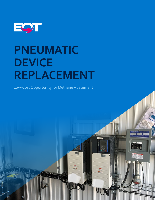

# **PNEUMATIC DEVICE REPLACEMENT**

Low-Cost Opportunity for Methane Abatement

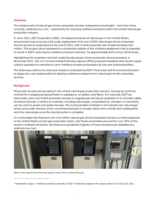### **Overview**

The replacement of natural-gas driven pneumatic devices represents a meaningful – and when done correctly, relatively low cost – opportunity for reducing methane emissions within the oil and natural gas production industry.

In June 2021, EQT Corporation (EQT), the largest producer of natural gas in the United States, announced it was pursuing a full-scale replacement of its over 8,000 natural gas-driven pneumatic devices across its asset base by the end of 2022, with a total projected cost of approximately \$20 million. This project alone represents a substantial majority of the methane abatement that is expected to result in EQT's reducing its methane emissions intensity<sup>[1](#page-1-0)</sup> by approximately 65% versus 2018 levels.

Highlighting the important role that replacing natural gas-driven pneumatic devices presents, in November 2021, the U.S. Environmental Protection Agency (EPA) proposed standards that would require subject operators to transition to zero-methane emission pneumatics at new and existing facilities.

The following outlines the work and research conducted by EQT's Production and Environmental teams to target low-cost opportunities for abating methane emissions from natural gas-driven pneumatic devices.

#### **Background**

Pneumatic devices are pervasive in the oil and natural gas production industry, serving as a primary method for managing produced fluids in separators, scrubbers, and filters. For example, EQT has historically used over 8,000 pneumatic devices to regulate gas and liquid separation or to activate safety shutdown devices. A variety of methods, including natural gas, compressed air, nitrogen, or electricity, can be used to power pneumatic devices. The most prevalent methods in the industry are natural gasdriven pneumatic devices, which use pressurized gas to actuate valves and controls and subsequently vent the natural gas once the discrete action is complete.

It is estimated that there are over one million natural gas-driven pneumatic devices currently deployed in the United States oil and gas production sector, and these pneumatics account for over 35% of the sector's methane emissions. We believe a substantial majority of these emissions are abatable at a relatively low cost.



*Motor drives regulate the compressor speed to match the air needs of the pad.*

<span id="page-1-0"></span> $1$  Represents Scope 1 methane emissions intensity of EQT's Production segment for assets owned as of June 30, 2011.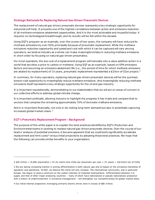## **Strategic Rationale for Replacing Natural Gas-Driven Pneumatic Devices**

The replacement of natural gas-driven pneumatic devices represents a key strategic opportunity for industrial self-help. It presents one of the highest correlations between action and emissions reduction of all methane emissions abatement opportunities. And it is the most actionable and impactful today: it requires no technological breakthrough, and its results will be felt within the decade.

Using EQT's program as an example, over the course of two years, the company will have reduced its methane emissions by over 50% principally because of pneumatic replacement. While the methane emissions reduction opportunity and speed and cost with which it can be captured will vary among operators, we believe industry as a whole can make meaningful strides in reducing methane emissions in short order by focusing on natural gas-driven pneumatics.

For most operators, the low cost of a replacement program will translate into a value additive action in a world that ascribes a price to carbon or methane. Using EQT as an example, based on EPA emissions factors and assuming an emissions abatement life (*i.e.*, the period of time for which methane emissions are abated by replacement) of 15 years, pneumatic replacement represented a \$3/ton of CO<sub>[2](#page-2-0)</sub>e project.<sup>2</sup>

In summary, for many operators, replacing natural gas-driven pneumatic devices will be the quickest, lowest-cost opportunity to meaningfully reduce methane emissions. And meaningfully reducing methane emissions itself represents a key strategic opportunity for the oil and gas industry.

It is important reputationally, demonstrating to our stakeholders that we will act on areas of concern in our collective efforts to address global climate change.

It is important politically, allowing industry to highlight the progress it has made and compare that to sectors that comprise the remaining approximately 70% of domestic methane emissions.

And it is important financially, not only in de-risking long-term demand but also in potentially capturing increased global market share.[3](#page-2-1)

### **EQT's Pneumatic Replacement Program – Background**

The purpose of this white paper is to explain the best practices identified by EQT's Production and Environmental teams in seeking to replace natural gas-driven pneumatic devices. Over the course of our team s' analysis of potential solutions, it became apparent that we could both significantly accelerate replacement and limit costs<sup>[4](#page-2-2)</sup> versus initial projections by adopting these best practices. We hope that the following can provide similar benefits to your organization.

<span id="page-2-0"></span><sup>2 \$20</sup> million  $\div$  (8,000 pneumatics  $\times$  51.52 metric tons CO2e per pneumatic per year  $\times$  15 years) = \$3/metric ton of CO2e

<span id="page-2-1"></span><sup>3</sup> We are seeing increasing traction in pricing differentiation in both natural gas and oil based on the emissions intensities of operators and operations. At EQT, we believe this trend will only increase. The international community, and in particular Europe, has begun to place a premium on the carbon intensity of imported hydrocarbons. Differentiation between U.S. supply and that of other major producing countries – many of which have nationalized or pseudo-nationalized production with a history of underinvestment in emissions management – will strengthen our competitiveness for global market share.

<span id="page-2-2"></span><sup>4</sup> Our initial internal projections leveraging primarily electric drives were in excess of \$80 million.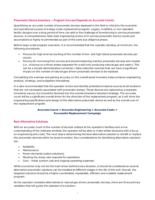# **Pneumatic Device Inventory – Program Success Depends on Accurate Counts**

Quantifying an accurate number of pneumatic devices deployed in the field is critical to the economic and operational success of a large-scale replacement program. Legacy, modified, or non-standard facility designs over a long period of time can add to the challenge of inventorying in-service pneumatic devices. A comprehensive, field-wide engineering review of in-service pneumatic device counts and assumptions is highly recommended as part of the early due diligence phase.

Before large-scale program execution, it is recommended that the operator develop, at minimum, the following procedures:

- Process for high level accounting of the number of low- and high-bleed pneumatic devices per vessel.
- Process for removing from service and decommissioning inactive pneumatic devices and vessels (i.e. oil dump on a three-phase separator for a well only producing natural gas and water). This can be a simple administrative correction / data collection exercise that can have a significant impact on the number of natural gas-driven pneumatic devices to be replaced.

Completing this exercise and gaining accuracy on the overall asset inventory helps enhance engineering analysis, strategy, and budgetary forecasting.

It is also recommended that the operator review and identify potential emissions sources at all locations that are not necessarily associated with pneumatic dumps. These devices are captured as a separate emissions source, but should be factored into the overall emissions reduction strategy. The accurate count will be a significant overall driver for the direction of the replacement program, as it will drive the engineering specifications and design of the alternative pneumatic device as well as the overall cost of the replacement program.

#### **Accurate Count = Accurate Engineering = Accurate Costs = Successful Replacement Campaign**

### **Best Alternative Solutions**

With an accurate count of the number of devices utilized at the operator's facilities and a true understanding of the methane emitted, the operator will be able to make better decisions with a focus on engineering and costs. The next step is determining the best alternative solution to retrofit or replace the pneumatic devices within its asset inventory. Key considerations for identifying alternative solutions are:

- Reliability
- Maintenance
- Power demands (select solutions)
- Meeting the dump rate required for operations
- Cost initial system cost and ongoing operating expenses

While economics may not be the main driver behind every decision, it should be considered as several alternative pneumatic solutions can be installed at different stages in the life of the well. Overall, the targeted outcome should be a highly coordinated, repeatable, efficient, and scalable replacement program .

As the operator considers alternatives to natural gas-driven pneumatic devices, there are three primary variables that will guide the selection of a solution: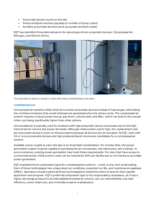- Pneumatic device counts on the site
- Produced liquid volumes (equates to number of dump cycles)
- Ancillary pneumatic devices (such as pumps and blow cases)

EQT has identified three alternatives to its natural gas-driven pneumatic devices: Compressed Air, Nitrogen, and Electric Drives.



*The compressed air system is housed in a shed, which helps prevent freezing in the winter.*

#### **COMPRESSED AIR**

Compressed air systems utilize dried air to power pneumatic devices instead of natural gas, eliminating the methane emissions that would otherwise be generated when the device vents. The compressed air system requires a robust power source, gas dryer, volume tank, and filter, which can lead to the overall initial cost being significantly higher than other options.

Compressed air is typically used for locations with high pneumatic device count pads due to the high instrument air volume and power demands. Although initial system cost is high, the replacement cost per pneumatic device is lower on these locations because all devices are air actuated. At EQT, sites with 24 or more pneumatic devices and high produced liquid volume are candidates for a compressed air system.

Available power supply to each site also is an important consideration. For remote sites, the power generation system must be capable of operating the air compressor, site electronics, and controls. In some instances, existing power generation may meet these requirements. For sites that have access to commercial power, initial system costs can be reduced by 50% per facility due to not having to purchase power generation.

EQT evaluated three compressor types for compressed air systems – scroll, screw, and reciprocating. Each of these technologies has unique ideal run conditions, expected run life, and maintenance expenses (OPEX). Operators should explore all three technologies to determine which is best for their specific application and program. EQT's preferred compressor type is the reciprocating compressor, as it has a higher discharge pressure to provide additional stored air volume, can run intermittently, has high efficiency, lower initial cost, and minimally invasive maintenance.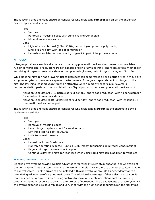The following pros and cons should be considered when selecting **compressed air** as the pneumatic device replacement solution:

- Pros
	- Inert air
	- Removal of freezing issues with sufficient air dryer design
	- Minimal maintenance costs
- Cons
	- High initial capital cost (\$60K-\$110K, depending on power supply needs)
	- Single failure point with loss of compression
	- Hazards associated with introducing oxygen into part of the process stream

#### **NITROGEN**

Nitrogen provides a feasible alternative to operating pneumatic devices when power is not available to run air compressors, or actuators are not capable of going fully electronic. There are several methods of supplying nitrogen to pneumatic devices: compressed cylinders, bulk nitrogen trucks, and MicroBulk.

While utilizing nitrogen has a lower initial capital cost than compressed air or electric drives, it may have a higher long-term operational expense due to the need for regular replenishment of nitrogen to the site. The low initial cost makes nitrogen an attractive option in many scenarios, but overall is recommended for pads with two combinations of liquid production rate and pneumatic device count:

- Nitrogen Candidate A: 0-10 Barrels of fluid per day (entire pad production) with no consideration for number of pneumatic devices.
- Nitrogen Candidate B: 10–50 Barrels of fluid per day (entire pad production) with less than 24 pneumatic devices on the pad.

The following pros and cons should be considered when selecting **nitrogen** as the pneumatic device replacement solution:

- Pros:
	- Inert gas
	- Removal of freezing issues
	- Less nitrogen replenishment for smaller pads
	- Low initial capital cost <\$20,000
	- Little to no maintenance
- Cons:
	- Hazardous in confined space
	- Monthly operating expense up to \$1,500/month (depending on nitrogen consumption)
	- Regular nitrogen replenishment required
	- Continuous low rate nitrogen flash loss when using liquid nitrogen in addition to vent loss

#### **ELECTRIC DRIVEN ACTUATION**

Electric-drive systems provide multiple advantages for reliability, remote monitoring, and operation of the dump valve. These systems leverage the use of small electrical motors to operate actuators attached to control valves. Electric drives can be installed with a new valve or mounted independently onto a preexisting valve to retrofit a pneumatic drive. The additional advantage of these electric actuators is that they can be integrated into existing controls to allow for remote operations such as throttling production rates in response to downstream pressure fluctuations. The disadvantage of these systems is the overall expense is relatively high and very linear with the number of pneumatics on the facility (as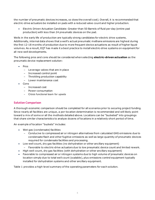the number of pneumatic devices increases, so does the overall cost). Overall, it is recommended that electric-drive actuators be installed on pads with a reduced valve count and higher production.

• Electric Driven Actuation Candidate: Greater than 50 Barrels of fluid per day (entire pad production) with less than 24 pneumatic devices on the pad.

Wells in the early life of production are typically strong candidates for electric drive systems. Additionally, internal data shows that a well's actual pneumatic methane emissions are highest during the first 12-18 months of production due to more frequent device actuations as result of higher liquid volumes. As a result, EQT has made it a best practice to install electric-drive systems on equipment for all new well developments.

The following pros and cons should be considered when selecting **electric-driven actuation** as the pneumatic device replacement solution:

- Pros
	- Leverage valves that are in place
	- Increased control point
	- Throttling production capability
	- Lower maintenance cost
- Cons
	- Increased cost
	- Power consumption
	- Cross functional team for upsets

### **Solution Comparison**

A thorough economic comparison should be completed for all scenarios prior to securing project funding. Since nearly all facilities are unique, a per-location determination is recommended and will likely point toward a mix of some or all the methods detailed above. Locations can be "bucketed" into groupings that share similar characteristics to analyze dozens of locations in a relatively short period of time.

An example of location "buckets" includes:

- Wet gas (condensate) facilities
	- Conducive to compressed air or nitrogen alternatives from calculated GHG emissions due to condensate flash and other fugitive emissions as well as large quantity of pneumatic devices required for condensate facilities and processing.
- Low well count, dry gas facilities (no dehydration or other ancillary equipment)
	- Favorable to electric-drive actuators due to low pneumatic device count and limited rework.
- High well count, dry gas facilities (with dehydration or other ancillary equipment)
- Favorable to compressed air or nitrogen systems due to high volume of pneumatic devices on location simply due to total well count (scalable), plus emissions control equipment typically installed for dehydration systems and other ancillary equipment.

Table 1 provides a high-level summary of the operating parameters for each solution.